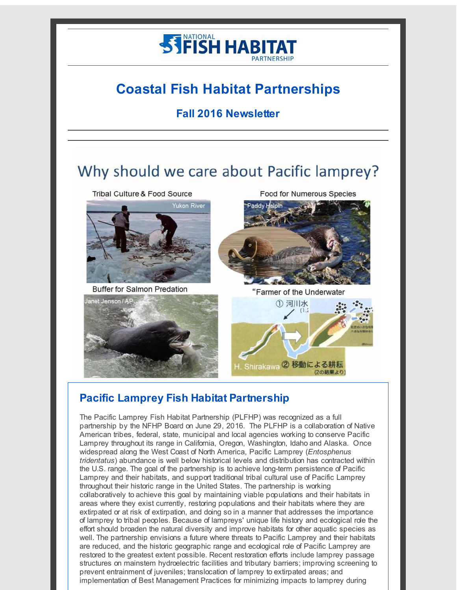

# **Coastal Fish Habitat Partnerships**

### **Fall 2016 Newsletter**

# Why should we care about Pacific lamprey?

Tribal Culture & Food Source



**Buffer for Salmon Predation** 

**Food for Numerous Species** 



"Farmer of the Underwater





Shirakawa 2 移動による耕耘

# **Pacific Lamprey Fish Habitat Partnership**

The Pacific Lamprey Fish Habitat Partnership (PLFHP) was recognized as a full partnership by the NFHP Board on June 29, 2016. The PLFHP is a collaboration of Native American tribes, federal, state, municipal and local agencies working to conserve Pacific Lamprey throughout its range in California, Oregon, Washington, Idaho and Alaska. Once widespread along the West Coast of North America, Pacific Lamprey (*Entosphenus tridentatus*) abundance is well below historical levels and distribution has contracted within the U.S. range. The goal of the partnership is to achieve long-term persistence of Pacific Lamprey and their habitats, and support traditional tribal cultural use of Pacific Lamprey throughout their historic range in the United States. The partnership is working collaboratively to achieve this goal by maintaining viable populations and their habitats in areas where they exist currently, restoring populations and their habitats where they are extirpated or at risk of extirpation, and doing so in a manner that addresses the importance of lamprey to tribal peoples. Because of lampreys' unique life history and ecological role the effort should broaden the natural diversity and improve habitats for other aquatic species as well. The partnership envisions a future where threats to Pacific Lamprey and their habitats are reduced, and the historic geographic range and ecological role of Pacific Lamprey are restored to the greatest extent possible. Recent restoration efforts include lamprey passage structures on mainstem hydroelectric facilities and tributary barriers; improving screening to prevent entrainment of juveniles; translocation of lamprey to extirpated areas; and implementation of Best Management Practices for minimizing impacts to lamprey during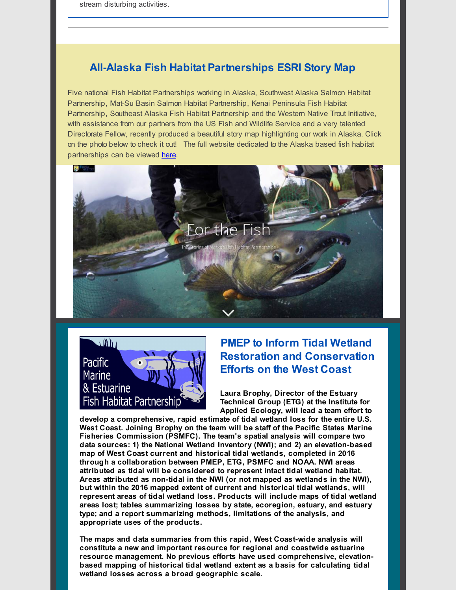stream disturbing activities.

### **All-Alaska Fish Habitat Partnerships ESRI Story Map**

Five national Fish Habitat Partnerships working in Alaska, Southwest Alaska Salmon Habitat Partnership, Mat-Su Basin Salmon Habitat Partnership, Kenai Peninsula Fish Habitat Partnership, Southeast Alaska Fish Habitat Partnership and the Western Native Trout Initiative, with assistance from our partners from the US Fish and Wildlife Service and a very talented Directorate Fellow, recently produced a beautiful story map highlighting our work in Alaska. Click on the photo below to check it out! The full website dedicated to the Alaska based fish habitat partnerships can be viewed [here](http://r20.rs6.net/tn.jsp?f=0011S5Cr1bhxlLWr89lruVDYRVGo-BDjdIubHmKIownvCamkxzY-o3tdz70FoNZytvq10llp4ULveShlyx9wStFl9BAc92Q00N7Bg8t4rayIGDynmX-5IqFWliubi-kcLWnYYzfu9QHsYuy50HlRquIQYlM2Eex9l0rhLnvNwTh9AC9y-BxopBTvpHd36ZPs5aN1tKW8OpWMFDGlXcrM1yrIJeFKajf7aIpr9_1Ssus-49r4nY7WGPiT7myCbH3oJSO1E7wmZo8RqHUJj4_o9vpog==&c=&ch=).





### **PMEP to Inform Tidal Wetland Restoration and Conservation Efforts on the West Coast**

**Laura Brophy, Director of the Estuary Technical Group (ETG) at the Institute for Applied Ecology, will lead a team effort to**

**develop a comprehensive, rapid estimate of tidal wetland loss for the entire U.S. West Coast. Joining Brophy on the team will be staff of the Pacific States Marine Fisheries Commission (PSMFC). The team's spatial analysis will compare two data sources: 1) the National Wetland Inventory (NWI); and 2) an elevation-based map of West Coast current and historical tidal wetlands, completed in 2016 through a collaboration between PMEP, ETG, PSMFC and NOAA. NWI areas attributed as tidal will be considered to represent intact tidal wetland habitat. Areas attributed as non-tidal in the NWI (or not mapped as wetlands in the NWI), but within the 2016 mapped extent of current and historical tidal wetlands, will represent areas of tidal wetland loss. Products will include maps of tidal wetland areas lost; tables summarizing losses by state, ecoregion, estuary, and estuary type; and a report summarizing methods, limitations of the analysis, and appropriate uses of the products.**

**The maps and data summaries from this rapid, West Coast-wide analysis will constitute a new and important resource for regional and coastwide estuarine resource management. No previous efforts have used comprehensive, elevationbased mapping of historical tidal wetland extent as a basis for calculating tidal wetland losses across a broad geographic scale.**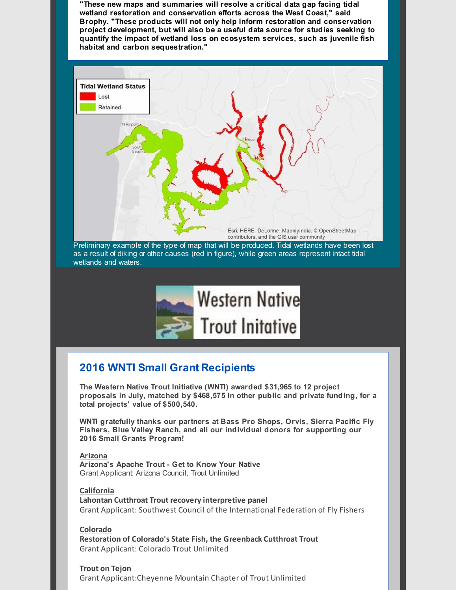**"These new maps and summaries will resolve a critical data gap facing tidal wetland restoration and conservation efforts across the West Coast," said Brophy. "These products will not only help inform restoration and conservation project development, but will also be a useful data source for studies seeking to quantify the impact of wetland loss on ecosystem services, such as juvenile fish habitat and carbon sequestration."**



Preliminary example of the type of map that will be produced. Tidal wetlands have been lost as a result of diking or other causes (red in figure), while green areas represent intact tidal wetlands and waters.



## **2016 WNTI Small Grant Recipients**

**The Western Native Trout Initiative (WNTI) awarded \$31,965 to 12 project proposals in July, matched by \$468,575 in other public and private funding, for a total projects' value of \$500,540.**

**WNTI gratefully thanks our partners at Bass Pro Shops, Orvis, Sierra Pacific Fly Fishers, Blue Valley Ranch, and all our individual donors for supporting our 2016 Small Grants Program!**

#### **Arizona**

**Arizona's Apache Trout - Get to Know Your Native** Grant Applicant: Arizona Council, Trout Unlimited

**California Lahontan Cutthroat Trout recovery interpretive panel** Grant Applicant: Southwest Council of the International Federation of Fly Fishers

**Colorado Restoration of Colorado's State Fish, the Greenback Cutthroat Trout** Grant Applicant: Colorado Trout Unlimited

**Trout on Tejon** Grant Applicant:Cheyenne Mountain Chapter of Trout Unlimited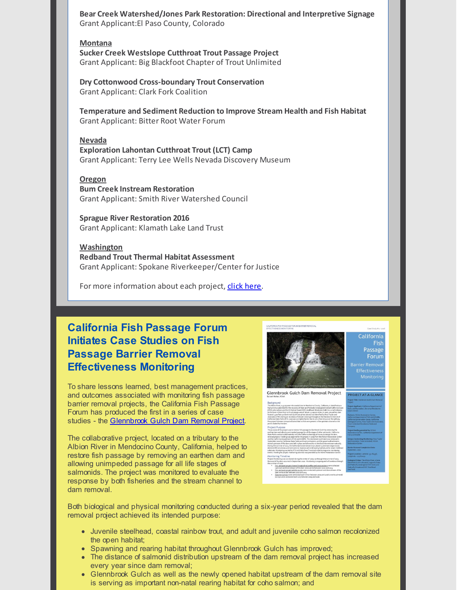**Bear Creek Watershed/Jones Park Restoration: Directional and Interpretive Signage** Grant Applicant:El Paso County, Colorado

**Montana Sucker Creek Westslope Cutthroat Trout Passage Project** Grant Applicant: Big Blackfoot Chapter of Trout Unlimited

**Dry Cottonwood Cross-boundary Trout Conservation** Grant Applicant: Clark Fork Coalition

**Temperature and Sediment Reduction to Improve Stream Health and Fish Habitat** Grant Applicant: Bitter Root Water Forum

#### **Nevada**

**Exploration Lahontan Cutthroat Trout (LCT) Camp** Grant Applicant: Terry Lee Wells Nevada Discovery Museum

#### **Oregon**

**Bum Creek Instream Restoration** Grant Applicant: Smith River Watershed Council

**Sprague River Restoration 2016** Grant Applicant: Klamath Lake Land Trust

**Washington Redband Trout Thermal Habitat Assessment** Grant Applicant: Spokane Riverkeeper/Center for Justice

For more information about each project, click [here](http://r20.rs6.net/tn.jsp?f=0011S5Cr1bhxlLWr89lruVDYRVGo-BDjdIubHmKIownvCamkxzY-o3tdydEiajSB6gv3jwCt_yhCKhTmwVQ-WS_TkeRzT1Kfqb4i55kjN0NQPoyzT4XrkRMVg6mJgBjy-jwkdtg4wQlO_nRGsME7bhhyPCFMk5HSS6ez18t3wK0FHgWdudZiJMLFMWk48Rygmh3nh3wPV3tMxsV_sPkEZiVhFHqp5OM5bHA0bCXkG72-xzPXeV_TSVxcghR0jpVIKJ08qPU6SjMwT9FJZmXkvmeiSQDh6S8EkIua2SZmURGlcdSzB_ltTc-SQ==&c=&ch=).

## **California Fish Passage Forum Initiates Case Studies on Fish Passage Barrier Removal Effectiveness Monitoring**

To share lessons learned, best management practices, and outcomes associated with monitoring fish passage barrier removal projects, the California Fish Passage Forum has produced the first in a series of case studies - the **[Glennbrook](http://r20.rs6.net/tn.jsp?f=0011S5Cr1bhxlLWr89lruVDYRVGo-BDjdIubHmKIownvCamkxzY-o3tdz70FoNZytvqHwBm-wHR0TeAfewzb_GtzYmnJPk2CLceeeoDWqWeRVzWSIyamIr9ApVE5pxgK4haITiLDGrKNI4PHZU7vJN9aJAg_Fpd1qMiPj_bVLY7R6wAQaENubqGvXys6Ocp2CpUJP1L4QOnD8FuM2hQTXkGjFXPKRXCC5ZVdFUD7QDvyxkOikPUFNV-2L5dP-GGLTQxUsSWisImFBgb1Cj7VxhjZQ==&c=&ch=) Gulch Dam Removal Project**.

The collaborative project, located on a tributary to the Albion River in Mendocino County, California, helped to restore fish passage by removing an earthen dam and allowing unimpeded passage for all life stages of salmonids. The project was monitored to evaluate the response by both fisheries and the stream channel to dam removal.



Both biological and physical monitoring conducted during a six-year period revealed that the dam removal project achieved its intended purpose:

- Juvenile steelhead, coastal rainbow trout, and adult and juvenile coho salmon recolonized the open habitat;
- Spawning and rearing habitat throughout Glennbrook Gulch has improved;
- The distance of salmonid distribution upstream of the dam removal project has increased every year since dam removal;
- Glennbrook Gulch as well as the newly opened habitat upstream of the dam removal site is serving as important non-natal rearing habitat for coho salmon; and